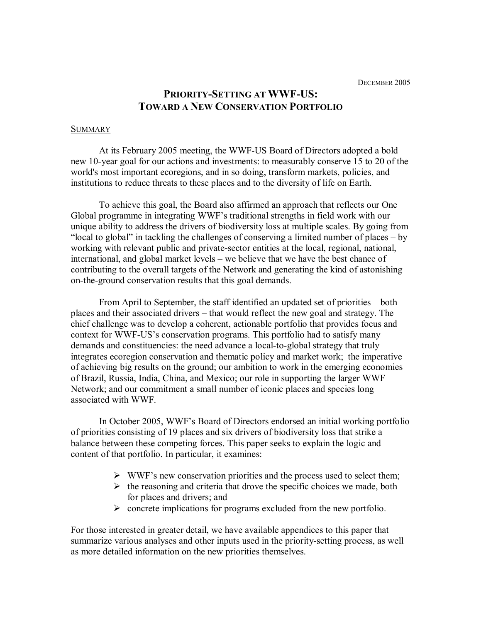# **PRIORITY-SETTING AT WWF-US: TOWARD A NEW CONSERVATION PORTFOLIO**

#### **SUMMARY**

At its February 2005 meeting, the WWF-US Board of Directors adopted a bold new 10-year goal for our actions and investments: to measurably conserve 15 to 20 of the world's most important ecoregions, and in so doing, transform markets, policies, and institutions to reduce threats to these places and to the diversity of life on Earth.

To achieve this goal, the Board also affirmed an approach that reflects our One Global programme in integrating WWF's traditional strengths in field work with our unique ability to address the drivers of biodiversity loss at multiple scales. By going from "local to global" in tackling the challenges of conserving a limited number of places – by working with relevant public and private-sector entities at the local, regional, national, international, and global market levels – we believe that we have the best chance of contributing to the overall targets of the Network and generating the kind of astonishing on-the-ground conservation results that this goal demands.

From April to September, the staff identified an updated set of priorities – both places and their associated drivers – that would reflect the new goal and strategy. The chief challenge was to develop a coherent, actionable portfolio that provides focus and context for WWF-US's conservation programs. This portfolio had to satisfy many demands and constituencies: the need advance a local-to-global strategy that truly integrates ecoregion conservation and thematic policy and market work; the imperative of achieving big results on the ground; our ambition to work in the emerging economies of Brazil, Russia, India, China, and Mexico; our role in supporting the larger WWF Network; and our commitment a small number of iconic places and species long associated with WWF.

In October 2005, WWF's Board of Directors endorsed an initial working portfolio of priorities consisting of 19 places and six drivers of biodiversity loss that strike a balance between these competing forces. This paper seeks to explain the logic and content of that portfolio. In particular, it examines:

- $\triangleright$  WWF's new conservation priorities and the process used to select them;
- $\triangleright$  the reasoning and criteria that drove the specific choices we made, both for places and drivers; and
- $\triangleright$  concrete implications for programs excluded from the new portfolio.

For those interested in greater detail, we have available appendices to this paper that summarize various analyses and other inputs used in the priority-setting process, as well as more detailed information on the new priorities themselves.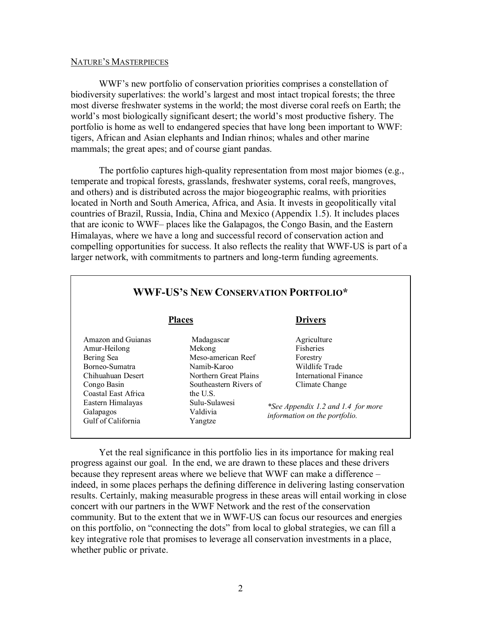## NATURE'S MASTERPIECES

WWF's new portfolio of conservation priorities comprises a constellation of biodiversity superlatives: the world's largest and most intact tropical forests; the three most diverse freshwater systems in the world; the most diverse coral reefs on Earth; the world's most biologically significant desert; the world's most productive fishery. The portfolio is home as well to endangered species that have long been important to WWF: tigers, African and Asian elephants and Indian rhinos; whales and other marine mammals; the great apes; and of course giant pandas.

The portfolio captures high-quality representation from most major biomes (e.g., temperate and tropical forests, grasslands, freshwater systems, coral reefs, mangroves, and others) and is distributed across the major biogeographic realms, with priorities located in North and South America, Africa, and Asia. It invests in geopolitically vital countries of Brazil, Russia, India, China and Mexico (Appendix 1.5). It includes places that are iconic to WWF– places like the Galapagos, the Congo Basin, and the Eastern Himalayas, where we have a long and successful record of conservation action and compelling opportunities for success. It also reflects the reality that WWF-US is part of a larger network, with commitments to partners and long-term funding agreements.

| <b>WWF-US'S NEW CONSERVATION PORTFOLIO*</b>                                                                                                                                           |                                                                                                                                                                  |                                                                                                                                                                                 |
|---------------------------------------------------------------------------------------------------------------------------------------------------------------------------------------|------------------------------------------------------------------------------------------------------------------------------------------------------------------|---------------------------------------------------------------------------------------------------------------------------------------------------------------------------------|
| <b>Places</b>                                                                                                                                                                         |                                                                                                                                                                  | <b>Drivers</b>                                                                                                                                                                  |
| Amazon and Guianas<br>Amur-Heilong<br>Bering Sea<br>Borneo-Sumatra<br>Chihuahuan Desert<br>Congo Basin<br>Coastal East Africa<br>Eastern Himalayas<br>Galapagos<br>Gulf of California | Madagascar<br>Mekong<br>Meso-american Reef<br>Namib-Karoo<br>Northern Great Plains<br>Southeastern Rivers of<br>the U.S.<br>Sulu-Sulawesi<br>Valdivia<br>Yangtze | Agriculture<br><b>Fisheries</b><br>Forestry<br>Wildlife Trade<br>International Finance<br>Climate Change<br>*See Appendix 1.2 and 1.4 for more<br>information on the portfolio. |

Yet the real significance in this portfolio lies in its importance for making real progress against our goal. In the end, we are drawn to these places and these drivers because they represent areas where we believe that WWF can make a difference – indeed, in some places perhaps the defining difference in delivering lasting conservation results. Certainly, making measurable progress in these areas will entail working in close concert with our partners in the WWF Network and the rest of the conservation community. But to the extent that we in WWF-US can focus our resources and energies on this portfolio, on "connecting the dots" from local to global strategies, we can fill a key integrative role that promises to leverage all conservation investments in a place, whether public or private.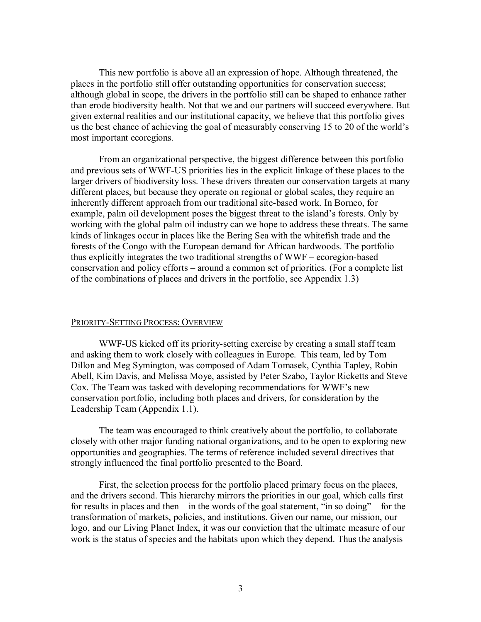This new portfolio is above all an expression of hope. Although threatened, the places in the portfolio still offer outstanding opportunities for conservation success; although global in scope, the drivers in the portfolio still can be shaped to enhance rather than erode biodiversity health. Not that we and our partners will succeed everywhere. But given external realities and our institutional capacity, we believe that this portfolio gives us the best chance of achieving the goal of measurably conserving 15 to 20 of the world's most important ecoregions.

From an organizational perspective, the biggest difference between this portfolio and previous sets of WWF-US priorities lies in the explicit linkage of these places to the larger drivers of biodiversity loss. These drivers threaten our conservation targets at many different places, but because they operate on regional or global scales, they require an inherently different approach from our traditional site-based work. In Borneo, for example, palm oil development poses the biggest threat to the island's forests. Only by working with the global palm oil industry can we hope to address these threats. The same kinds of linkages occur in places like the Bering Sea with the whitefish trade and the forests of the Congo with the European demand for African hardwoods. The portfolio thus explicitly integrates the two traditional strengths of  $WWF -$  ecoregion-based conservation and policy efforts – around a common set of priorities. (For a complete list of the combinations of places and drivers in the portfolio, see Appendix 1.3)

## PRIORITY-SETTING PROCESS: OVERVIEW

WWF-US kicked off its priority-setting exercise by creating a small staff team and asking them to work closely with colleagues in Europe. This team, led by Tom Dillon and Meg Symington, was composed of Adam Tomasek, Cynthia Tapley, Robin Abell, Kim Davis, and Melissa Moye, assisted by Peter Szabo, Taylor Ricketts and Steve Cox. The Team was tasked with developing recommendations for WWF's new conservation portfolio, including both places and drivers, for consideration by the Leadership Team (Appendix 1.1).

The team was encouraged to think creatively about the portfolio, to collaborate closely with other major funding national organizations, and to be open to exploring new opportunities and geographies. The terms of reference included several directives that strongly influenced the final portfolio presented to the Board.

First, the selection process for the portfolio placed primary focus on the places, and the drivers second. This hierarchy mirrors the priorities in our goal, which calls first for results in places and then  $-$  in the words of the goal statement, "in so doing"  $-$  for the transformation of markets, policies, and institutions. Given our name, our mission, our logo, and our Living Planet Index, it was our conviction that the ultimate measure of our work is the status of species and the habitats upon which they depend. Thus the analysis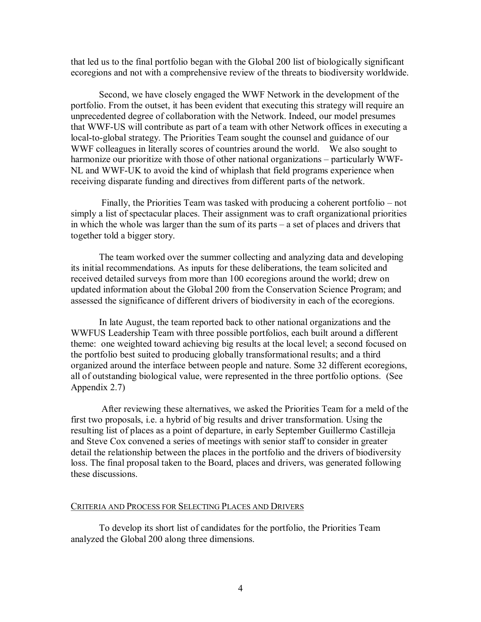that led us to the final portfolio began with the Global 200 list of biologically significant ecoregions and not with a comprehensive review of the threats to biodiversity worldwide.

Second, we have closely engaged the WWF Network in the development of the portfolio. From the outset, it has been evident that executing this strategy will require an unprecedented degree of collaboration with the Network. Indeed, our model presumes that WWF-US will contribute as part of a team with other Network offices in executing a local-to-global strategy. The Priorities Team sought the counsel and guidance of our WWF colleagues in literally scores of countries around the world. We also sought to harmonize our prioritize with those of other national organizations – particularly WWF NL and WWF-UK to avoid the kind of whiplash that field programs experience when receiving disparate funding and directives from different parts of the network.

Finally, the Priorities Team was tasked with producing a coherent portfolio – not simply a list of spectacular places. Their assignment was to craft organizational priorities in which the whole was larger than the sum of its parts – a set of places and drivers that together told a bigger story.

The team worked over the summer collecting and analyzing data and developing its initial recommendations. As inputs for these deliberations, the team solicited and received detailed surveys from more than 100 ecoregions around the world; drew on updated information about the Global 200 from the Conservation Science Program; and assessed the significance of different drivers of biodiversity in each of the ecoregions.

In late August, the team reported back to other national organizations and the WWFUS Leadership Team with three possible portfolios, each built around a different theme: one weighted toward achieving big results at the local level; a second focused on the portfolio best suited to producing globally transformational results; and a third organized around the interface between people and nature. Some 32 different ecoregions, all of outstanding biological value, were represented in the three portfolio options. (See Appendix 2.7)

After reviewing these alternatives, we asked the Priorities Team for a meld of the first two proposals, i.e. a hybrid of big results and driver transformation. Using the resulting list of places as a point of departure, in early September Guillermo Castilleja and Steve Cox convened a series of meetings with senior staff to consider in greater detail the relationship between the places in the portfolio and the drivers of biodiversity loss. The final proposal taken to the Board, places and drivers, was generated following these discussions.

# CRITERIA AND PROCESS FOR SELECTING PLACES AND DRIVERS

To develop its short list of candidates for the portfolio, the Priorities Team analyzed the Global 200 along three dimensions.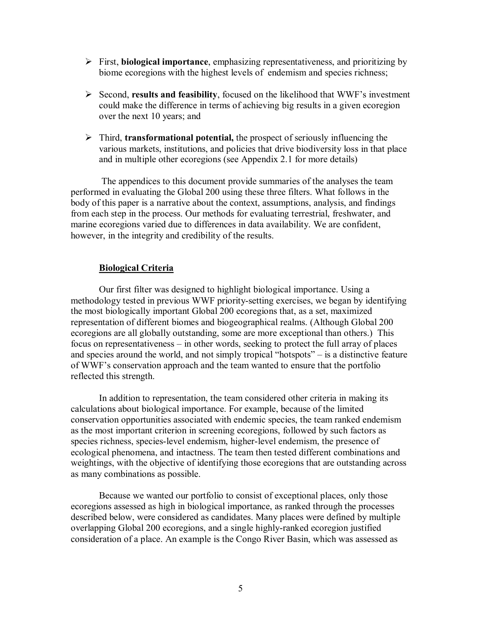- ÿ First, **biological importance**, emphasizing representativeness, and prioritizing by biome ecoregions with the highest levels of endemism and species richness;
- ÿ Second, **results and feasibility**, focused on the likelihood that WWF's investment could make the difference in terms of achieving big results in a given ecoregion over the next 10 years; and
- ÿ Third, **transformational potential,** the prospect of seriously influencing the various markets, institutions, and policies that drive biodiversity loss in that place and in multiple other ecoregions (see Appendix 2.1 for more details)

The appendices to this document provide summaries of the analyses the team performed in evaluating the Global 200 using these three filters. What follows in the body of this paper is a narrative about the context, assumptions, analysis, and findings from each step in the process. Our methods for evaluating terrestrial, freshwater, and marine ecoregions varied due to differences in data availability. We are confident, however, in the integrity and credibility of the results.

# **Biological Criteria**

Our first filter was designed to highlight biological importance. Using a methodology tested in previous WWF priority-setting exercises, we began by identifying the most biologically important Global 200 ecoregions that, as a set, maximized representation of different biomes and biogeographical realms. (Although Global 200 ecoregions are all globally outstanding, some are more exceptional than others.) This focus on representativeness – in other words, seeking to protect the full array of places and species around the world, and not simply tropical "hotspots" – is a distinctive feature of WWF's conservation approach and the team wanted to ensure that the portfolio reflected this strength.

In addition to representation, the team considered other criteria in making its calculations about biological importance. For example, because of the limited conservation opportunities associated with endemic species, the team ranked endemism as the most important criterion in screening ecoregions, followed by such factors as species richness, species-level endemism, higher-level endemism, the presence of ecological phenomena, and intactness. The team then tested different combinations and weightings, with the objective of identifying those ecoregions that are outstanding across as many combinations as possible.

Because we wanted our portfolio to consist of exceptional places, only those ecoregions assessed as high in biological importance, as ranked through the processes described below, were considered as candidates. Many places were defined by multiple overlapping Global 200 ecoregions, and a single highlyranked ecoregion justified consideration of a place. An example is the Congo River Basin, which was assessed as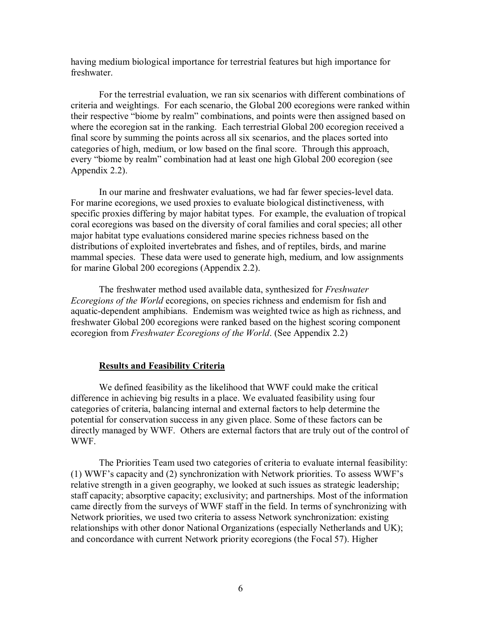having medium biological importance for terrestrial features but high importance for freshwater.

For the terrestrial evaluation, we ran six scenarios with different combinations of criteria and weightings. For each scenario, the Global 200 ecoregions were ranked within their respective "biome by realm" combinations, and points were then assigned based on where the ecoregion sat in the ranking. Each terrestrial Global 200 ecoregion received a final score by summing the points across all six scenarios, and the places sorted into categories of high, medium, or low based on the final score. Through this approach, every "biome by realm" combination had at least one high Global 200 ecoregion (see Appendix 2.2).

In our marine and freshwater evaluations, we had far fewer species-level data. For marine ecoregions, we used proxies to evaluate biological distinctiveness, with specific proxies differing by major habitat types. For example, the evaluation of tropical coral ecoregions was based on the diversity of coral families and coral species; all other major habitat type evaluations considered marine species richness based on the distributions of exploited invertebrates and fishes, and of reptiles, birds, and marine mammal species. These data were used to generate high, medium, and low assignments for marine Global 200 ecoregions (Appendix 2.2).

The freshwater method used available data, synthesized for *Freshwater Ecoregions of the World* ecoregions, on species richness and endemism for fish and aquatic-dependent amphibians. Endemism was weighted twice as high as richness, and freshwater Global 200 ecoregions were ranked based on the highest scoring component ecoregion from *Freshwater Ecoregions of the World*. (See Appendix 2.2)

# **Results and Feasibility Criteria**

We defined feasibility as the likelihood that WWF could make the critical difference in achieving big results in a place. We evaluated feasibility using four categories of criteria, balancing internal and external factors to help determine the potential for conservation success in any given place. Some of these factors can be directly managed by WWF. Others are external factors that are truly out of the control of WWF.

The Priorities Team used two categories of criteria to evaluate internal feasibility: (1) WWF's capacity and (2) synchronization with Network priorities. To assess WWF's relative strength in a given geography, we looked at such issues as strategic leadership; staff capacity; absorptive capacity; exclusivity; and partnerships. Most of the information came directly from the surveys of WWF staff in the field. In terms of synchronizing with Network priorities, we used two criteria to assess Network synchronization: existing relationships with other donor National Organizations (especially Netherlands and UK); and concordance with current Network priority ecoregions (the Focal 57). Higher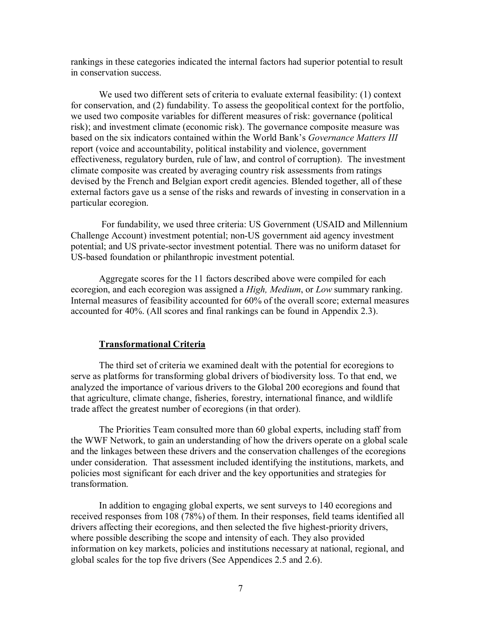rankings in these categories indicated the internal factors had superior potential to result in conservation success.

We used two different sets of criteria to evaluate external feasibility: (1) context for conservation, and (2) fundability. To assess the geopolitical context for the portfolio, we used two composite variables for different measures of risk: governance (political risk); and investment climate (economic risk). The governance composite measure was based on the six indicators contained within the World Bank's *Governance Matters III* report (voice and accountability, political instability and violence, government effectiveness, regulatory burden, rule of law, and control of corruption). The investment climate composite was created by averaging country risk assessments from ratings devised by the French and Belgian export credit agencies. Blended together, all of these external factors gave us a sense of the risks and rewards of investing in conservation in a particular ecoregion.

For fundability, we used three criteria: US Government (USAID and Millennium Challenge Account) investment potential; non-US government aid agency investment potential; and US private-sector investment potential. There was no uniform dataset for US-based foundation or philanthropic investment potential.

Aggregate scores for the 11 factors described above were compiled for each ecoregion, and each ecoregion was assigned a *High, Medium*, or *Low* summary ranking. Internal measures of feasibility accounted for 60% of the overall score; external measures accounted for 40%. (All scores and final rankings can be found in Appendix 2.3).

#### **Transformational Criteria**

The third set of criteria we examined dealt with the potential for ecoregions to serve as platforms for transforming global drivers of biodiversity loss. To that end, we analyzed the importance of various drivers to the Global 200 ecoregions and found that that agriculture, climate change, fisheries, forestry, international finance, and wildlife trade affect the greatest number of ecoregions (in that order).

The Priorities Team consulted more than 60 global experts, including staff from the WWF Network, to gain an understanding of how the drivers operate on a global scale and the linkages between these drivers and the conservation challenges of the ecoregions under consideration. That assessment included identifying the institutions, markets, and policies most significant for each driver and the key opportunities and strategies for transformation.

In addition to engaging global experts, we sent surveys to 140 ecoregions and received responses from 108 (78%) of them. In their responses, field teams identified all drivers affecting their ecoregions, and then selected the five highest-priority drivers, where possible describing the scope and intensity of each. They also provided information on key markets, policies and institutions necessary at national, regional, and global scales for the top five drivers (See Appendices 2.5 and 2.6).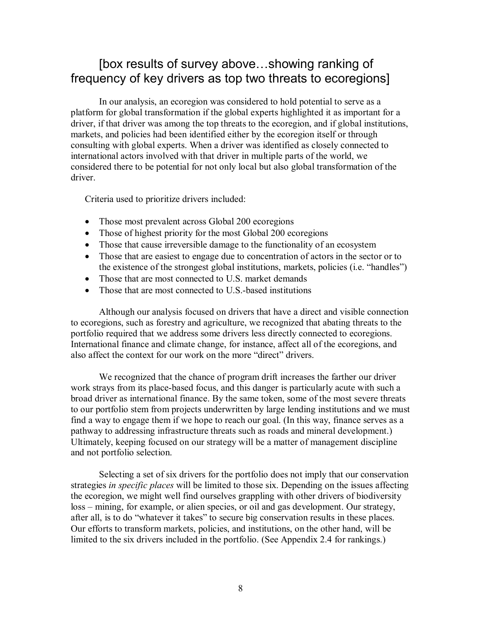# [box results of survey above…showing ranking of frequency of key drivers as top two threats to ecoregions]

In our analysis, an ecoregion was considered to hold potential to serve as a platform forglobal transformation if the global experts highlighted it as important for a driver, if that driver was among the top threats to the ecoregion, and if global institutions, markets, and policies had been identified either by the ecoregion itself or through consulting with global experts. When a driver was identified as closely connected to international actors involved with that driver in multiple parts of the world, we considered there to be potential for not only local but also global transformation of the driver.

Criteria used to prioritize drivers included:

- Those most prevalent across Global 200 ecoregions
- Those of highest priority for the most Global 200 ecoregions
- Those that cause irreversible damage to the functionality of an ecosystem
- Those that are easiest to engage due to concentration of actors in the sector or to the existence of the strongest global institutions, markets, policies (i.e. "handles")
- Those that are most connected to U.S. market demands
- Those that are most connected to U.S.-based institutions

Although our analysis focused on drivers that have a direct and visible connection to ecoregions, such as forestry and agriculture, we recognized that abating threats to the portfolio required that we address some drivers less directly connected to ecoregions. International finance and climate change, for instance, affect all of the ecoregions, and also affect the context for our work on the more "direct" drivers.

We recognized that the chance of program drift increases the farther our driver work strays from its place-based focus, and this danger is particularly acute with such a broad driver as international finance. By the same token, some of the most severe threats to our portfolio stem from projects underwritten by large lending institutions and we must find a way to engage them if we hope to reach our goal. (In this way, finance serves as a pathway to addressing infrastructure threats such as roads and mineral development.) Ultimately, keeping focused on our strategy will be a matter of management discipline and not portfolio selection.

Selecting a set of six drivers for the portfolio does not imply that our conservation strategies *in specific places* will be limited to those six. Depending on the issues affecting the ecoregion, we might well find ourselves grappling with other drivers of biodiversity loss – mining, for example, or alien species, or oil and gas development. Our strategy, after all, is to do "whatever it takes" to secure big conservation results in these places. Our efforts to transform markets, policies, and institutions, on the other hand, will be limited to the six drivers included in the portfolio. (See Appendix 2.4 for rankings.)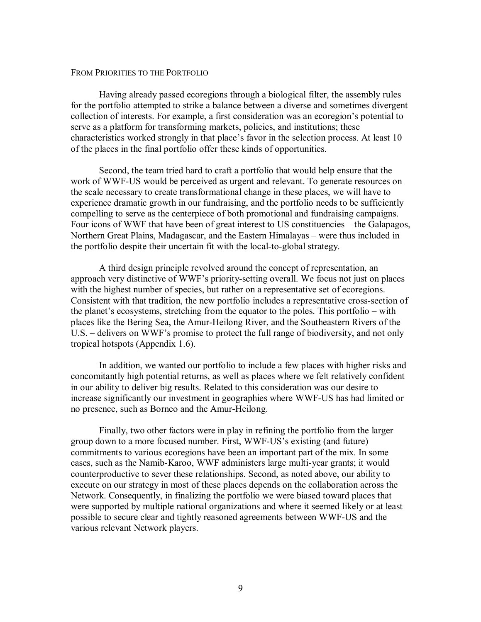# FROM PRIORITIES TO THE PORTFOLIO

Having already passed ecoregions through a biological filter, the assembly rules for the portfolio attempted to strike a balance between a diverse and sometimes divergent collection of interests. For example, a first consideration was an ecoregion's potential to serve as a platform for transforming markets, policies, and institutions; these characteristics worked strongly in that place's favor in the selection process. At least 10 of the places in the final portfolio offer these kinds of opportunities.

Second, the team tried hard to craft a portfolio that would help ensure that the work of WWF-US would be perceived as urgent and relevant. To generate resources on the scale necessary to create transformational change in these places, we will have to experience dramatic growth in our fundraising, and the portfolio needs to be sufficiently compelling to serve as the centerpiece of both promotional and fundraising campaigns. Four icons of WWF that have been of great interest to US constituencies – the Galapagos, Northern Great Plains, Madagascar, and the Eastern Himalayas – were thus included in the portfolio despite their uncertain fit with the local-to-global strategy.

A third design principle revolved around the concept of representation, an approach very distinctive of WWF's priority-setting overall. We focus not just on places with the highest number of species, but rather on a representative set of ecoregions. Consistent with that tradition, the new portfolio includes a representative cross-section of the planet's ecosystems, stretching from the equator to the poles. This portfolio – with places like the Bering Sea, the Amur-Heilong River, and the Southeastern Rivers of the U.S. – delivers on WWF's promise to protect the full range of biodiversity, and not only tropical hotspots (Appendix 1.6).

In addition, we wanted our portfolio to include a few places with higher risks and concomitantly high potential returns, as well as places where we felt relatively confident in our ability to deliver big results. Related to this consideration was our desire to increase significantly our investment in geographies where WWF-US has had limited or no presence, such as Borneo and the Amur-Heilong.

Finally, two other factors were in play in refining the portfolio from the larger group down to a more focused number. First, WWF-US's existing (and future) commitments to various ecoregions have been an important part of the mix. In some cases, such as the Namib-Karoo, WWF administers large multi-year grants; it would counterproductive to sever these relationships. Second, as noted above, our ability to execute on our strategy in most of these places depends on the collaboration across the Network. Consequently, in finalizing the portfolio we were biased toward places that were supported by multiple national organizations and where it seemed likely or at least possible to secure clear and tightly reasoned agreements between WWF-US and the various relevant Network players.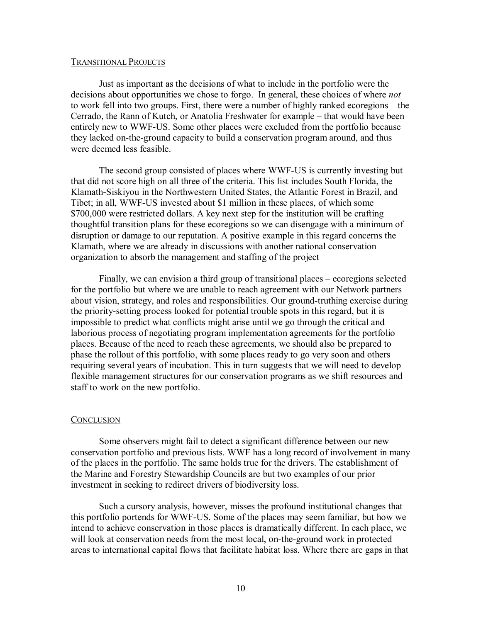#### TRANSITIONAL PROJECTS

Just as important as the decisions of what to include in the portfolio were the decisions about opportunities we chose to forgo. In general, these choices of where *not* to work fell into two groups. First, there were a number of highly ranked ecoregions – the Cerrado, the Rann of Kutch, or Anatolia Freshwater for example – that would have been entirely new to WWF-US. Some other places were excluded from the portfolio because they lacked on-the-ground capacity to build a conservation program around, and thus were deemed less feasible.

The second group consisted of places where WWF-US is currently investing but that did not score high on all three of the criteria. This list includes South Florida, the Klamath-Siskiyou in the Northwestern United States, the Atlantic Forest in Brazil, and Tibet; in all, WWF-US invested about \$1 million in these places, of which some \$700,000 were restricted dollars. A key next step for the institution will be crafting thoughtful transition plans for these ecoregions so we can disengage with a minimum of disruption or damage to our reputation. A positive example in this regard concerns the Klamath, where we are already in discussions with another national conservation organization to absorb the management and staffing of the project

Finally, we can envision a third group of transitional places – ecoregions selected for the portfolio but where we are unable to reach agreement with our Network partners about vision, strategy, and roles and responsibilities. Our ground-truthing exercise during the priority-setting process looked for potential trouble spots in this regard, but it is impossible to predict what conflicts might arise until we go through the critical and laborious process of negotiating program implementation agreements for the portfolio places. Because of the need to reach these agreements, we should also be prepared to phase the rollout of this portfolio, with some places ready to go very soon and others requiring several years of incubation. This in turn suggests that we will need to develop flexible management structures for our conservation programs as we shift resources and staff to work on the new portfolio.

## **CONCLUSION**

Some observers might fail to detect a significant difference between our new conservation portfolio and previous lists. WWF has a long record of involvement in many of the places in the portfolio. The same holds true for the drivers. The establishment of the Marine and Forestry Stewardship Councils are but two examples of our prior investment in seeking to redirect drivers of biodiversity loss.

Such a cursory analysis, however, misses the profound institutional changes that this portfolio portends for WWF-US. Some of the places may seem familiar, but how we intend to achieve conservation in those places is dramatically different. In each place, we will look at conservation needs from the most local, on-the-ground work in protected areas to international capital flows that facilitate habitat loss. Where there are gaps in that